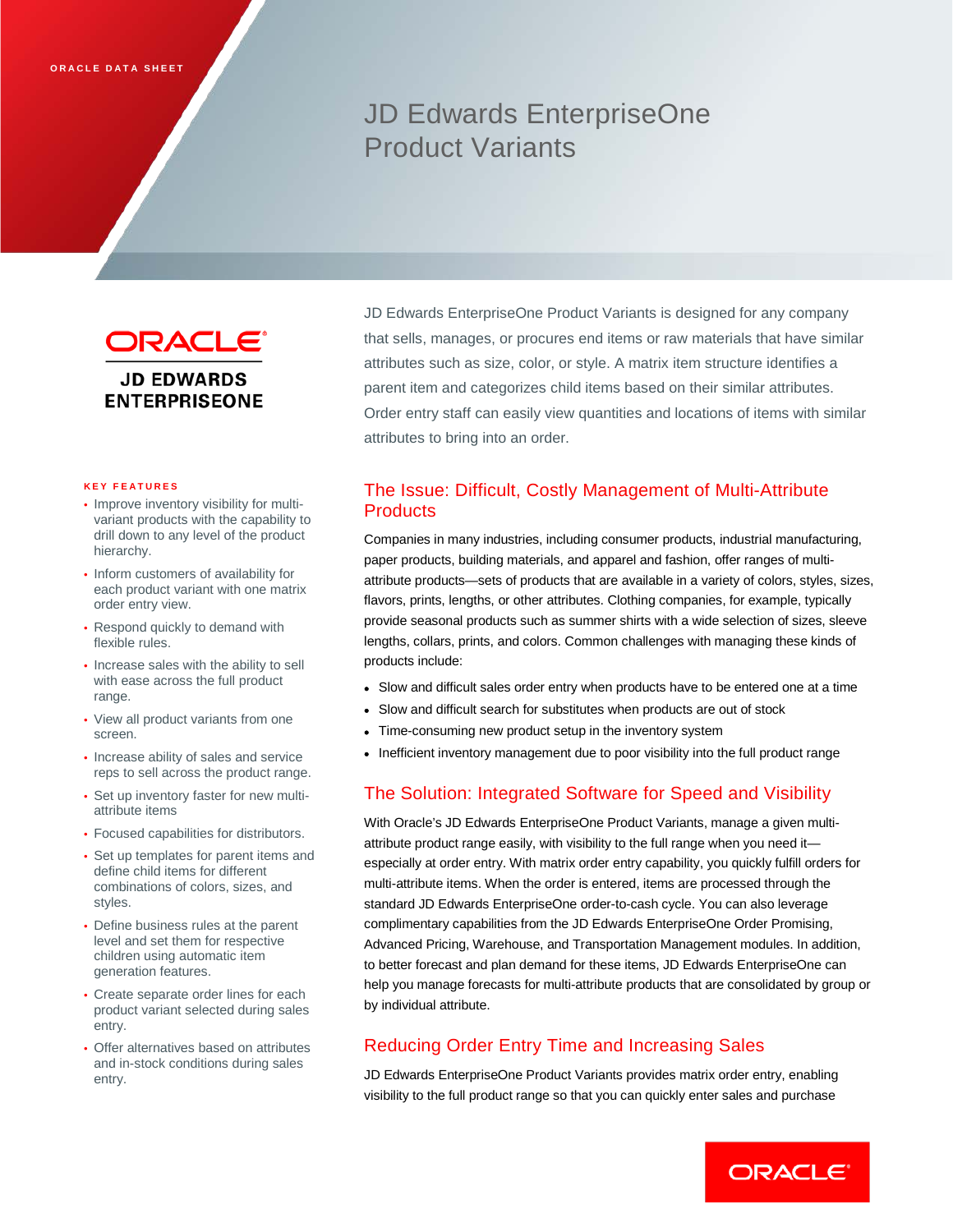# JD Edwards EnterpriseOne Product Variants



#### **KEY FEATURES**

- Improve inventory visibility for multivariant products with the capability to drill down to any level of the product hierarchy.
- Inform customers of availability for each product variant with one matrix order entry view.
- Respond quickly to demand with flexible rules.
- Increase sales with the ability to sell with ease across the full product range.
- View all product variants from one screen.
- Increase ability of sales and service reps to sell across the product range.
- Set up inventory faster for new multiattribute items
- Focused capabilities for distributors.
- Set up templates for parent items and define child items for different combinations of colors, sizes, and styles.
- Define business rules at the parent level and set them for respective children using automatic item generation features.
- Create separate order lines for each product variant selected during sales entry.
- Offer alternatives based on attributes and in-stock conditions during sales entry.

JD Edwards EnterpriseOne Product Variants is designed for any company that sells, manages, or procures end items or raw materials that have similar attributes such as size, color, or style. A matrix item structure identifies a parent item and categorizes child items based on their similar attributes. Order entry staff can easily view quantities and locations of items with similar attributes to bring into an order.

# The Issue: Difficult, Costly Management of Multi-Attribute **Products**

Companies in many industries, including consumer products, industrial manufacturing, paper products, building materials, and apparel and fashion, offer ranges of multiattribute products—sets of products that are available in a variety of colors, styles, sizes, flavors, prints, lengths, or other attributes. Clothing companies, for example, typically provide seasonal products such as summer shirts with a wide selection of sizes, sleeve lengths, collars, prints, and colors. Common challenges with managing these kinds of products include:

- Slow and difficult sales order entry when products have to be entered one at a time
- Slow and difficult search for substitutes when products are out of stock
- Time-consuming new product setup in the inventory system
- Inefficient inventory management due to poor visibility into the full product range

## The Solution: Integrated Software for Speed and Visibility

With Oracle's JD Edwards EnterpriseOne Product Variants, manage a given multiattribute product range easily, with visibility to the full range when you need it especially at order entry. With matrix order entry capability, you quickly fulfill orders for multi-attribute items. When the order is entered, items are processed through the standard JD Edwards EnterpriseOne order-to-cash cycle. You can also leverage complimentary capabilities from the JD Edwards EnterpriseOne Order Promising, Advanced Pricing, Warehouse, and Transportation Management modules. In addition, to better forecast and plan demand for these items, JD Edwards EnterpriseOne can help you manage forecasts for multi-attribute products that are consolidated by group or by individual attribute.

# Reducing Order Entry Time and Increasing Sales

JD Edwards EnterpriseOne Product Variants provides matrix order entry, enabling visibility to the full product range so that you can quickly enter sales and purchase

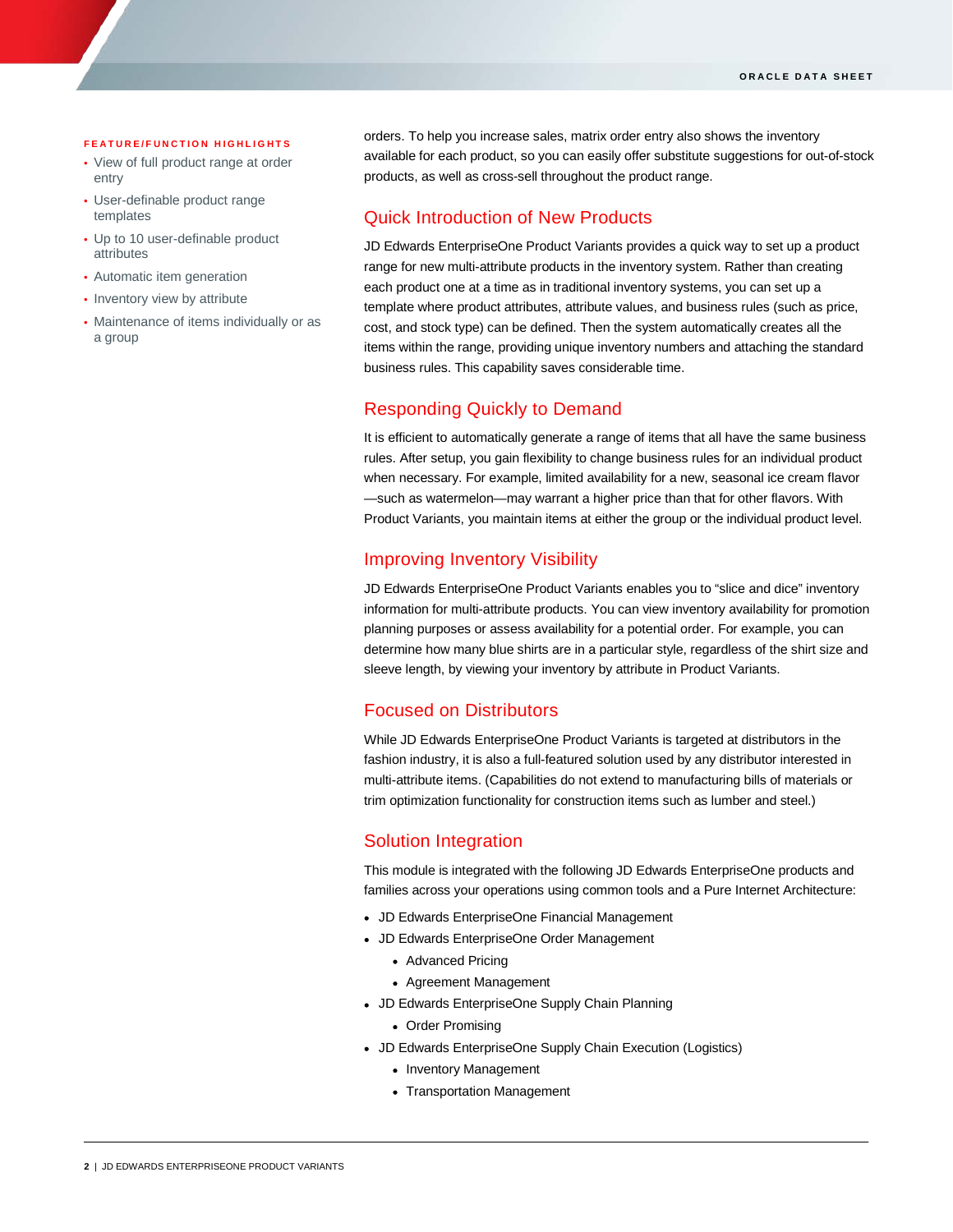#### **FEATURE/FUNCTION HIGHLIGHTS**

ī

- View of full product range at order entry
- User-definable product range templates
- Up to 10 user-definable product attributes
- Automatic item generation
- Inventory view by attribute
- Maintenance of items individually or as a group

orders. To help you increase sales, matrix order entry also shows the inventory available for each product, so you can easily offer substitute suggestions for out-of-stock products, as well as cross-sell throughout the product range.

## Quick Introduction of New Products

JD Edwards EnterpriseOne Product Variants provides a quick way to set up a product range for new multi-attribute products in the inventory system. Rather than creating each product one at a time as in traditional inventory systems, you can set up a template where product attributes, attribute values, and business rules (such as price, cost, and stock type) can be defined. Then the system automatically creates all the items within the range, providing unique inventory numbers and attaching the standard business rules. This capability saves considerable time.

### Responding Quickly to Demand

It is efficient to automatically generate a range of items that all have the same business rules. After setup, you gain flexibility to change business rules for an individual product when necessary. For example, limited availability for a new, seasonal ice cream flavor —such as watermelon—may warrant a higher price than that for other flavors. With Product Variants, you maintain items at either the group or the individual product level.

#### Improving Inventory Visibility

JD Edwards EnterpriseOne Product Variants enables you to "slice and dice" inventory information for multi-attribute products. You can view inventory availability for promotion planning purposes or assess availability for a potential order. For example, you can determine how many blue shirts are in a particular style, regardless of the shirt size and sleeve length, by viewing your inventory by attribute in Product Variants.

#### Focused on Distributors

While JD Edwards EnterpriseOne Product Variants is targeted at distributors in the fashion industry, it is also a full-featured solution used by any distributor interested in multi-attribute items. (Capabilities do not extend to manufacturing bills of materials or trim optimization functionality for construction items such as lumber and steel.)

#### Solution Integration

This module is integrated with the following JD Edwards EnterpriseOne products and families across your operations using common tools and a Pure Internet Architecture:

- JD Edwards EnterpriseOne Financial Management
- JD Edwards EnterpriseOne Order Management
	- Advanced Pricing
	- Agreement Management
- JD Edwards EnterpriseOne Supply Chain Planning
	- Order Promising
- JD Edwards EnterpriseOne Supply Chain Execution (Logistics)
	- Inventory Management
	- Transportation Management